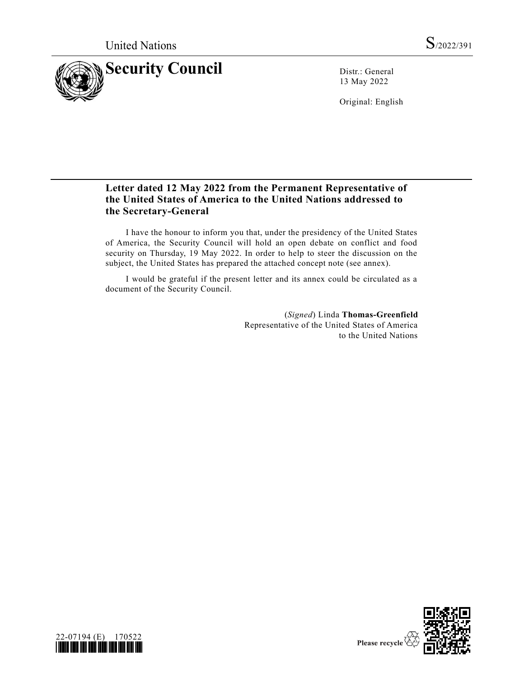

13 May 2022

Original: English

# **Letter dated 12 May 2022 from the Permanent Representative of the United States of America to the United Nations addressed to the Secretary-General**

I have the honour to inform you that, under the presidency of the United States of America, the Security Council will hold an open debate on conflict and food security on Thursday, 19 May 2022. In order to help to steer the discussion on the subject, the United States has prepared the attached concept note (see annex).

I would be grateful if the present letter and its annex could be circulated as a document of the Security Council.

> (*Signed*) Linda **Thomas-Greenfield** Representative of the United States of America to the United Nations



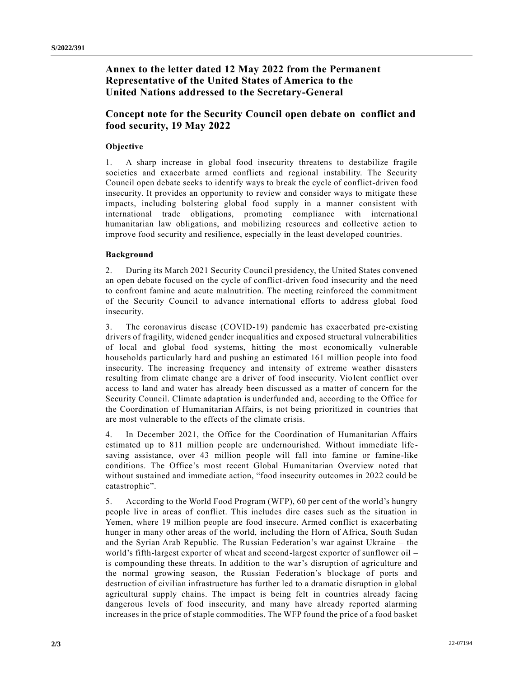## **Annex to the letter dated 12 May 2022 from the Permanent Representative of the United States of America to the United Nations addressed to the Secretary-General**

## **Concept note for the Security Council open debate on  conflict and food security, 19 May 2022**

### **Objective**

1. A sharp increase in global food insecurity threatens to destabilize fragile societies and exacerbate armed conflicts and regional instability. The Security Council open debate seeks to identify ways to break the cycle of conflict-driven food insecurity. It provides an opportunity to review and consider ways to mitigate these impacts, including bolstering global food supply in a manner consistent with international trade obligations, promoting compliance with international humanitarian law obligations, and mobilizing resources and collective action to improve food security and resilience, especially in the least developed countries.

#### **Background**

2. During its March 2021 Security Council presidency, the United States convened an open debate focused on the cycle of conflict-driven food insecurity and the need to confront famine and acute malnutrition. The meeting reinforced the commitment of the Security Council to advance international efforts to address global food insecurity.

3. The coronavirus disease (COVID-19) pandemic has exacerbated pre-existing drivers of fragility, widened gender inequalities and exposed structural vulnerabilities of local and global food systems, hitting the most economically vulnerable households particularly hard and pushing an estimated 161 million people into food insecurity. The increasing frequency and intensity of extreme weather disasters resulting from climate change are a driver of food insecurity. Violent conflict over access to land and water has already been discussed as a matter of concern for the Security Council. Climate adaptation is underfunded and, according to the Office for the Coordination of Humanitarian Affairs, is not being prioritized in countries that are most vulnerable to the effects of the climate crisis.

4. In December 2021, the Office for the Coordination of Humanitarian Affairs estimated up to 811 million people are undernourished. Without immediate life saving assistance, over 43 million people will fall into famine or famine-like conditions. The Office's most recent Global Humanitarian Overview noted that without sustained and immediate action, "food insecurity outcomes in 2022 could be catastrophic".

5. According to the World Food Program (WFP), 60 per cent of the world's hungry people live in areas of conflict. This includes dire cases such as the situation in Yemen, where 19 million people are food insecure. Armed conflict is exacerbating hunger in many other areas of the world, including the Horn of Africa, South Sudan and the Syrian Arab Republic. The Russian Federation's war against Ukraine – the world's fifth-largest exporter of wheat and second-largest exporter of sunflower oil – is compounding these threats. In addition to the war's disruption of agriculture and the normal growing season, the Russian Federation's blockage of ports and destruction of civilian infrastructure has further led to a dramatic disruption in global agricultural supply chains. The impact is being felt in countries already facing dangerous levels of food insecurity, and many have already reported alarming increases in the price of staple commodities. The WFP found the price of a food basket